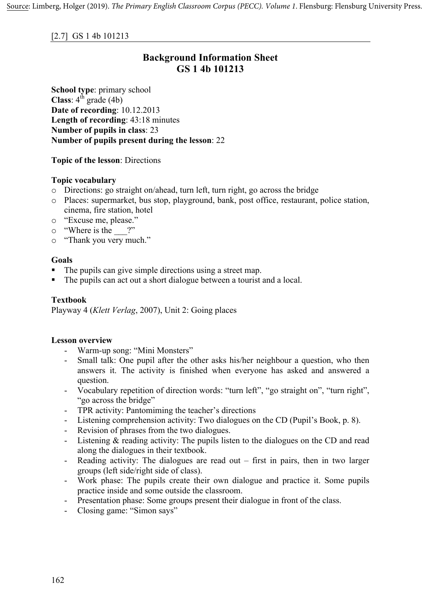### **Background Information Sheet GS 1 4b 101213**

**School type**: primary school **Class**:  $4^{\text{th}}$  grade (4b) **Date of recording**: 10.12.2013 **Length of recording**: 43:18 minutes **Number of pupils in class**: 23 **Number of pupils present during the lesson**: 22

**Topic of the lesson**: Directions

#### **Topic vocabulary**

- o Directions: go straight on/ahead, turn left, turn right, go across the bridge
- o Places: supermarket, bus stop, playground, bank, post office, restaurant, police station, cinema, fire station, hotel
- o "Excuse me, please."
- $\circ$  "Where is the ?"
- o "Thank you very much."

#### **Goals**

- The pupils can give simple directions using a street map.
- The pupils can act out a short dialogue between a tourist and a local.

#### **Textbook**

Playway 4 (*Klett Verlag*, 2007), Unit 2: Going places

#### **Lesson overview**

- Warm-up song: "Mini Monsters"
- Small talk: One pupil after the other asks his/her neighbour a question, who then answers it. The activity is finished when everyone has asked and answered a question.
- Vocabulary repetition of direction words: "turn left", "go straight on", "turn right", "go across the bridge"
- TPR activity: Pantomiming the teacher's directions
- Listening comprehension activity: Two dialogues on the CD (Pupil's Book, p. 8).
- Revision of phrases from the two dialogues.
- Listening & reading activity: The pupils listen to the dialogues on the CD and read along the dialogues in their textbook.
- Reading activity: The dialogues are read out first in pairs, then in two larger groups (left side/right side of class).
- Work phase: The pupils create their own dialogue and practice it. Some pupils practice inside and some outside the classroom.
- Presentation phase: Some groups present their dialogue in front of the class.
- Closing game: "Simon says"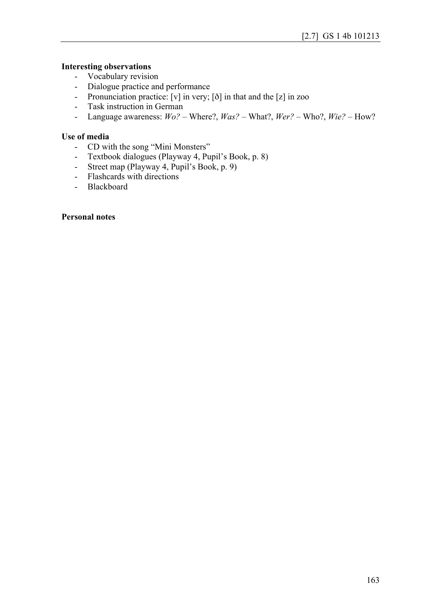#### **Interesting observations**

- Vocabulary revision
- Dialogue practice and performance
- Pronunciation practice: [v] in very; [ð] in that and the [z] in zoo
- Task instruction in German
- Language awareness: *Wo?* Where?, *Was?* What?, *Wer?* Who?, *Wie?* How?

#### **Use of media**

- CD with the song "Mini Monsters"
- Textbook dialogues (Playway 4, Pupil's Book, p. 8)
- Street map (Playway 4, Pupil's Book, p. 9)
- Flashcards with directions
- Blackboard

#### **Personal notes**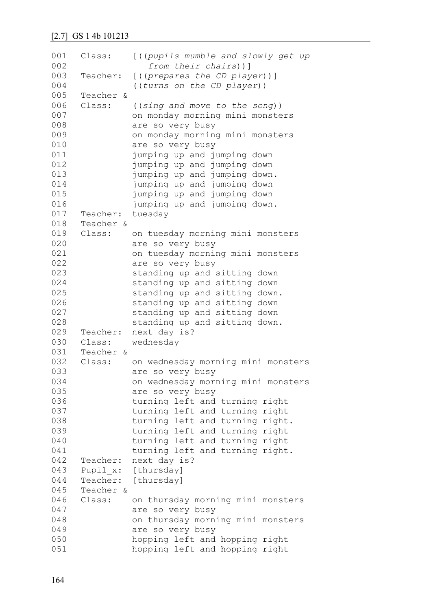| 001<br>002 | Class:    | [((pupils mumble and slowly get up<br>from their chairs))] |
|------------|-----------|------------------------------------------------------------|
| 003        | Teacher:  | $[$ ((prepares the CD player))]                            |
| 004        |           | ((turns on the CD player))                                 |
| 005        | Teacher & |                                                            |
| 006        | Class:    | ((sing and move to the song))                              |
| 007        |           | on monday morning mini monsters                            |
| 008        |           | are so very busy                                           |
| 009        |           | on monday morning mini monsters                            |
| 010        |           | are so very busy                                           |
| 011        |           | jumping up and jumping down                                |
| 012        |           | jumping up and jumping down                                |
| 013        |           | jumping up and jumping down.                               |
| 014        |           | jumping up and jumping down                                |
| 015        |           | jumping up and jumping down                                |
| 016        |           | jumping up and jumping down.                               |
| 017        | Teacher:  | tuesday                                                    |
| 018        | Teacher & |                                                            |
| 019        | Class:    | on tuesday morning mini monsters                           |
| 020        |           | are so very busy                                           |
| 021        |           | on tuesday morning mini monsters                           |
| 022        |           | are so very busy                                           |
| 023        |           | standing up and sitting down                               |
| 024        |           | standing up and sitting down                               |
| 025        |           | standing up and sitting down.                              |
| 026        |           | standing up and sitting down                               |
| 027        |           | standing up and sitting down                               |
| 028        |           | standing up and sitting down.                              |
| 029        | Teacher:  | next day is?                                               |
| 030        | Class:    | wednesday                                                  |
| 031        | Teacher & |                                                            |
| 032        | Class:    | on wednesday morning mini monsters                         |
| 033        |           | are so very busy                                           |
| 034        |           | on wednesday morning mini monsters                         |
| 035        |           | are so very busy                                           |
| 036        |           | turning left and turning right                             |
| 037        |           | turning left and turning right                             |
| 038        |           | turning left and turning right.                            |
| 039        |           | turning left and turning right                             |
| 040        |           | turning left and turning right                             |
| 041        |           | turning left and turning right.                            |
| 042        | Teacher:  | next day is?                                               |
| 043        |           | Pupil x: [thursday]                                        |
| 044        |           | Teacher: [thursday]                                        |
| 045        | Teacher & |                                                            |
| 046        | Class:    | on thursday morning mini monsters                          |
| 047        |           | are so very busy                                           |
| 048        |           | on thursday morning mini monsters                          |
| 049        |           | are so very busy                                           |
| 050        |           | hopping left and hopping right                             |
| 051        |           | hopping left and hopping right                             |
|            |           |                                                            |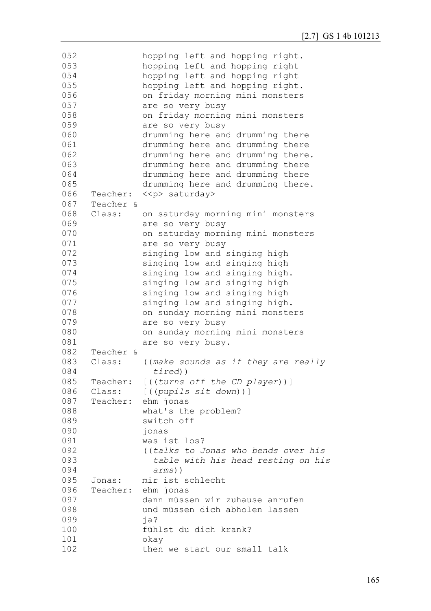| 052        |           | hopping left and hopping right.        |
|------------|-----------|----------------------------------------|
| 053        |           | hopping left and hopping right         |
| 054        |           | hopping left and hopping right         |
| 055        |           | hopping left and hopping right.        |
| 056        |           | on friday morning mini monsters        |
| 057        |           | are so very busy                       |
| 058        |           | on friday morning mini monsters        |
| 059        |           | are so very busy                       |
| 060        |           | drumming here and drumming there       |
| 061        |           | drumming here and drumming there       |
| 062        |           | drumming here and drumming there.      |
| 063        |           | drumming here and drumming there       |
| 064        |           | drumming here and drumming there       |
| 065        |           | drumming here and drumming there.      |
| 066        | Teacher:  | < <p> saturday&gt;</p>                 |
| 067        | Teacher & |                                        |
| 068        | Class:    | on saturday morning mini monsters      |
| 069        |           | are so very busy                       |
| 070        |           | on saturday morning mini monsters      |
| 071        |           | are so very busy                       |
| 072        |           | singing low and singing high           |
| 073        |           | singing low and singing high           |
| 074        |           | singing low and singing high.          |
| 075        |           | singing low and singing high           |
| 076        |           |                                        |
| 077        |           | singing low and singing high           |
|            |           | singing low and singing high.          |
| 078        |           | on sunday morning mini monsters        |
| 079<br>080 |           | are so very busy                       |
|            |           | on sunday morning mini monsters        |
| 081        |           | are so very busy.                      |
| 082        | Teacher & |                                        |
| 083        | Class:    | ((make sounds as if they are really    |
| 084        |           | $timed)$ )                             |
| 085        |           | Teacher: [((turns off the CD player))] |
| 086        | Class:    | [((pupils sit down))]                  |
| 087        | Teacher:  | ehm jonas                              |
| 088        |           | what's the problem?                    |
| 089        |           | switch off                             |
| 090        |           | jonas                                  |
| 091        |           | was ist los?                           |
| 092        |           | ((talks to Jonas who bends over his    |
| 093        |           | table with his head resting on his     |
| 094        |           | $arms)$ )                              |
| 095        | Jonas:    | mir ist schlecht                       |
| 096        | Teacher:  | ehm jonas                              |
| 097        |           | dann müssen wir zuhause anrufen        |
| 098        |           | und müssen dich abholen lassen         |
| 099        |           | ja?                                    |
| 100        |           | fühlst du dich krank?                  |
| 101        |           | okay                                   |
| 102        |           | then we start our small talk           |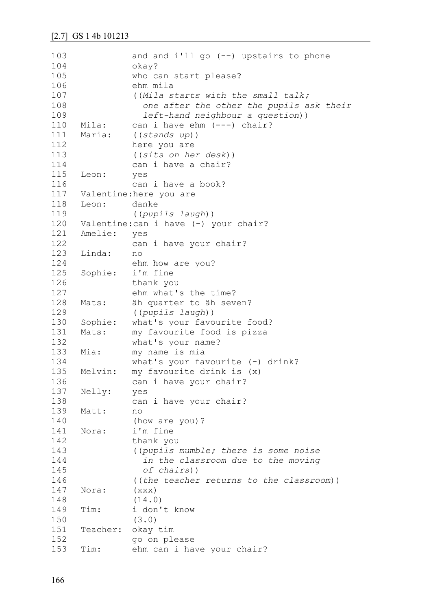```
103
104
105
106
107
108
109
110
111
112
113
114
115
116
117
118
119
120
121
122
123
124
125
126
127
128
129
130
131
132
133
134
135
136
137
138
139
140
141
142
143
144
145
146
147
148
149
150
151
152
153
               and and i'll go (--) upstairs to phone
               okay?
               who can start please?
               ehm mila
               ((Mila starts with the small talk;
                  one after the other the pupils ask their 
                  left-hand neighbour a question))
     Mila: can i have ehm (---) chair?
     Maria: ((stands up))
               here you are
                ((sits on her desk))
               can i have a chair?
     Leon: yes
               can i have a book?
     Valentine:here you are 
     Leon: danke
                ((pupils laugh))
     Valentine: can i have (-) your chair?
     Amelie: yes 
               can i have your chair?
     Linda: no 
               ehm how are you?
     Sophie: i'm fine 
               thank you 
               ehm what's the time?
     Mats: äh quarter to äh seven?
               ((pupils laugh))
     Sophie: what's your favourite food?
     Mats: my favourite food is pizza 
               what's your name?
     Mia: my name is mia
               what's your favourite (-) drink?
     Melvin: my favourite drink is (x) 
               can i have your chair?
     Nelly: yes 
               can i have your chair?
     Matt: no
               (how are you)?
     Nora: i'm fine
               thank you
                ((pupils mumble; there is some noise 
                  in the classroom due to the moving
                  of chairs))
                ((the teacher returns to the classroom))
     Nora: (xxx)
                (14.0)
     Tim: i don't know
               (3.0)
     Teacher: okay tim
               go on please
     Tim: ehm can i have your chair?
```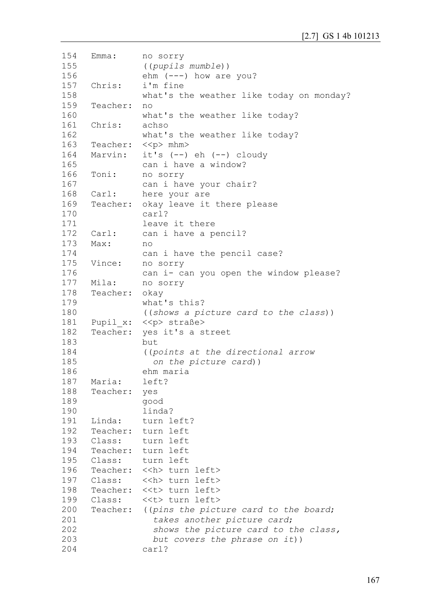```
154
155
156
157
158
159
160
161
162
163
164
165
166
167
168
169
170
171
172
173
174
175
176
177
178
179
180
181
182
183
184
185
186
187
188
189
190
191
192
193
194
195
196
197
198
199
200
201
202
203
204
     Emma: no sorry
                ((pupils mumble))
               ehm (---) how are you?
     Chris: i'm fine 
               what's the weather like today on monday?
     Teacher: no 
               what's the weather like today?
     Chris: achso 
               what's the weather like today?
     Teacher: << p> mhm>
     Marvin: it's (--) eh (--) cloudy
               can i have a window?
     Toni: no sorry 
               can i have your chair?
     Carl: here your are 
     Teacher: okay leave it there please 
               carl? 
               leave it there 
     Carl: can i have a pencil?
     Max: no 
               can i have the pencil case?
     Vince: no sorry 
               can i- can you open the window please?
     Mila: no sorry 
     Teacher: okay 
               what's this?
                ((shows a picture card to the class))
     Pupil x: << p> straße>
     Teacher: yes it's a street 
               but 
                ((points at the directional arrow
                  on the picture card))
               ehm maria
     Maria: left?
     Teacher: yes 
               good 
               linda?
     Linda: turn left?
     Teacher: turn left 
     Class: turn left 
     Teacher: turn left 
     Class: turn left 
     Teacher: << h> turn left>
     Class: << h> turn left>
     Teacher: <<t> turn left>
     Class: <<t> turn left>
     Teacher: ((pins the picture card to the board;
                  takes another picture card;
                  shows the picture card to the class,
                  but covers the phrase on it))
               carl?
```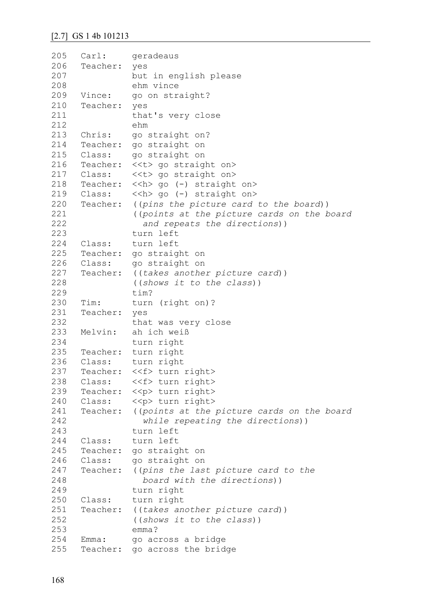```
205
206
207
208
209
210
211
212
213
214
215
216
217
218
219
220
221
222
223
224
225
226
227
228
229
230
231
232
233
234
235
236
237
238
239
240
241
242
243
244
245
246
247
248
249
250
251
252
253
254
255
     Carl: geradeaus 
     Teacher: yes 
               but in english please 
               ehm vince
     Vince: go on straight?
     Teacher: yes 
               that's very close 
               ehm
     Chris: go straight on?
     Teacher: go straight on 
     Class: go straight on 
     Teacher: <<t> go straight on>
     Class: <<t> go straight on> 
     Teacher: << h> go (-) straight on>
     Class: << h> go (-) straight on>
     Teacher: ((pins the picture card to the board))
                ((points at the picture cards on the board 
                   and repeats the directions))
               turn left 
     Class: turn left 
     Teacher: go straight on 
     Class: go straight on 
     Teacher: ((takes another picture card))
               ((shows it to the class))
               tim?
     Tim: turn (right on)?
     Teacher: yes
               that was very close 
     Melvin: ah ich weiß 
               turn right 
     Teacher: turn right 
     Class: turn right 
     Teacher: <<f> turn right>
     Class: <<f> turn right>
     Teacher: << p> turn right>
     Class: <<p> turn right> 
     Teacher: ((points at the picture cards on the board 
                   while repeating the directions))
               turn left 
     Class: turn left 
     Teacher: go straight on 
     Class: go straight on 
     Teacher: ((pins the last picture card to the 
                  board with the directions))
                turn right 
     Class: turn right 
     Teacher: ((takes another picture card))
                ((shows it to the class))
               emma?
     Emma: qo across a bridge
     Teacher: go across the bridge
```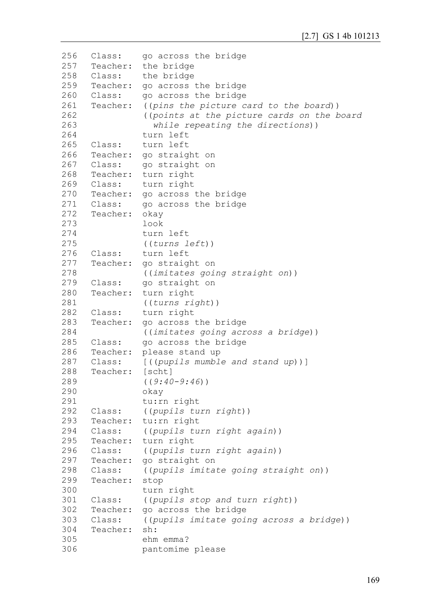```
256
257
258
259
260
261
262
263
264
265
266
267
268
269
270
271
272
273
274
275
276
277
278
279
280
281
282
283
284
285
286
287
288
289
290
291
292
293
294
295
296
297
298
299
300
301
302
303
304
305
306
     Class: go across the bridge 
     Teacher: the bridge 
     Class: the bridge 
     Teacher: go across the bridge 
     Class: go across the bridge 
     Teacher: ((pins the picture card to the board))
                ((points at the picture cards on the board 
                   while repeating the directions))
               turn left 
     Class: turn left 
     Teacher: go straight on 
     Class: go straight on 
     Teacher: turn right 
     Class: turn right 
     Teacher: go across the bridge 
     Class: go across the bridge 
     Teacher: okay 
                look 
               turn left 
                ((turns left))
     Class: turn left 
     Teacher: go straight on 
                ((imitates going straight on))
     Class: go straight on 
     Teacher: turn right 
                ((turns right))
     Class: turn right 
     Teacher: go across the bridge 
               ((imitates going across a bridge))
     Class: go across the bridge 
     Teacher: please stand up 
     Class: [((pupils mumble and stand up))]
     Teacher: [scht]
                ((9:40-9:46))
               okay 
               tu:rn right 
     Class: ((pupils turn right))
     Teacher: tu:rn right 
     Class: ((pupils turn right again))
     Teacher: turn right 
     Class: ((pupils turn right again))
     Teacher: go straight on 
     Class: ((pupils imitate going straight on))
     Teacher: stop 
               turn right 
     Class: ((pupils stop and turn right))
     Teacher: go across the bridge 
     Class: ((pupils imitate going across a bridge))
     Teacher: sh:
               ehm emma?
               pantomime please
```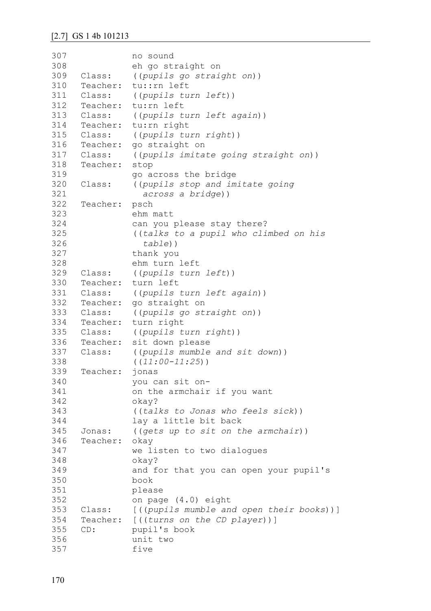| 307 |              | no sound                                     |
|-----|--------------|----------------------------------------------|
| 308 |              | eh go straight on                            |
| 309 | Class:       | ((pupils go straight on))                    |
| 310 |              | Teacher: tu::rn left                         |
| 311 | Class:       | ((pupils turn left))                         |
| 312 |              | Teacher: tu: rn left                         |
| 313 | Class:       | ((pupils turn left again))                   |
| 314 | Teacher:     | tu: rn right                                 |
| 315 | Class:       | ((pupils turn right))                        |
|     | 316 Teacher: | go straight on                               |
|     | 317 Class:   | ((pupils imitate going straight on))         |
| 318 | Teacher:     | stop                                         |
| 319 |              | go across the bridge                         |
| 320 | Class:       | ((pupils stop and imitate going)             |
| 321 |              | across a bridge))                            |
| 322 | Teacher:     | psch                                         |
| 323 |              | ehm matt                                     |
| 324 |              | can you please stay there?                   |
| 325 |              | ((talks to a pupil who climbed on his        |
| 326 |              | $table)$ )                                   |
| 327 |              | thank you                                    |
| 328 |              | ehm turn left                                |
| 329 | Class:       | ((pupils turn left))                         |
| 330 | Teacher:     | turn left                                    |
|     | 331 Class:   | ((pupils turn left again))                   |
| 332 | Teacher:     | go straight on                               |
| 333 | Class:       | ((pupils go straight on))                    |
| 334 | Teacher:     | turn right                                   |
| 335 | Class:       | ((pupils turn right))                        |
| 336 | Teacher:     | sit down please                              |
| 337 | Class:       | ((pupils mumble and sit down))               |
| 338 |              | $((11:00-11:25))$                            |
| 339 | Teacher:     | jonas                                        |
| 340 |              | you can sit on-                              |
| 341 |              | on the armchair if you want                  |
| 342 |              | okay?                                        |
| 343 |              | ((talks to Jonas who feels sick))            |
| 344 |              | lay a little bit back                        |
| 345 | Jonas:       | ((gets up to sit on the armchair))           |
| 346 | Teacher:     | okay                                         |
| 347 |              | we listen to two dialogues                   |
| 348 |              | okay?                                        |
| 349 |              | and for that you can open your pupil's       |
| 350 |              | book                                         |
| 351 |              | please                                       |
| 352 |              | on page (4.0) eight                          |
| 353 | Class:       | [((pupils mumble and open their books))]     |
| 354 | Teacher:     |                                              |
| 355 | CD:          | [((turns on the CD player))]<br>pupil's book |
| 356 |              | unit two                                     |
| 357 |              | five                                         |
|     |              |                                              |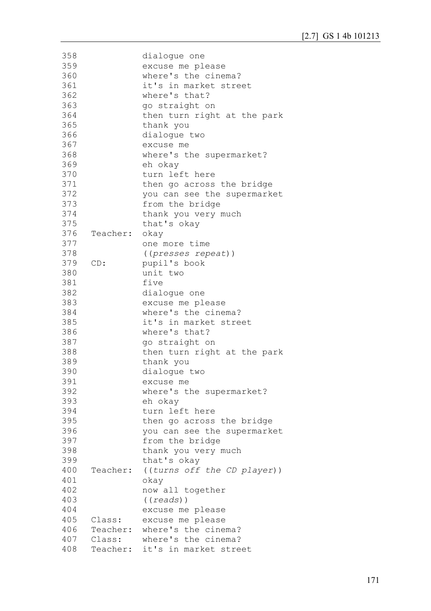| 358        |          | dialogue one                                                 |
|------------|----------|--------------------------------------------------------------|
| 359        |          | excuse me please                                             |
| 360        |          | where's the cinema?                                          |
| 361        |          | it's in market street                                        |
| 362        |          | where's that?                                                |
| 363        |          | go straight on                                               |
| 364        |          | then turn right at the park                                  |
| 365        |          | thank you                                                    |
| 366        |          | dialoque two                                                 |
| 367        |          | excuse me                                                    |
| 368        |          | where's the supermarket?                                     |
| 369        |          | eh okay                                                      |
| 370        |          | turn left here                                               |
| 371        |          | then go across the bridge                                    |
| 372        |          | you can see the supermarket                                  |
| 373        |          |                                                              |
|            |          | from the bridge                                              |
| 374        |          | thank you very much                                          |
| 375        |          | that's okay                                                  |
| 376        | Teacher: | okay                                                         |
| 377        |          | one more time                                                |
| 378        |          | ((presses repeat))                                           |
| 379        | CD:      | pupil's book                                                 |
| 380        |          | unit two                                                     |
| 381        |          | five                                                         |
| 382        |          | dialoque one                                                 |
| 383        |          | excuse me please                                             |
| 384        |          | where's the cinema?                                          |
| 385        |          | it's in market street                                        |
| 386        |          | where's that?                                                |
| 387        |          | go straight on                                               |
| 388        |          | then turn right at the park                                  |
| 389        |          | thank you                                                    |
| 390        |          | dialoque two                                                 |
| 391        |          | excuse me                                                    |
| 392        |          | where's the supermarket?                                     |
| 393        |          | eh okay                                                      |
| 394        |          | turn left here                                               |
| 395        |          |                                                              |
| 396        |          |                                                              |
|            |          | then go across the bridge                                    |
|            |          | you can see the supermarket                                  |
| 397        |          | from the bridge                                              |
| 398        |          | thank you very much                                          |
| 399        |          | that's okay                                                  |
| 400        | Teacher: | ((turns off the CD player))                                  |
| 401        |          | okay                                                         |
| 402        |          | now all together                                             |
| 403        |          | ((reads))                                                    |
| 404        |          | excuse me please                                             |
| 405        | Class:   | excuse me please                                             |
| 406        | Teacher: | where's the cinema?                                          |
| 407<br>408 |          | Class: where's the cinema?<br>Teacher: it's in market street |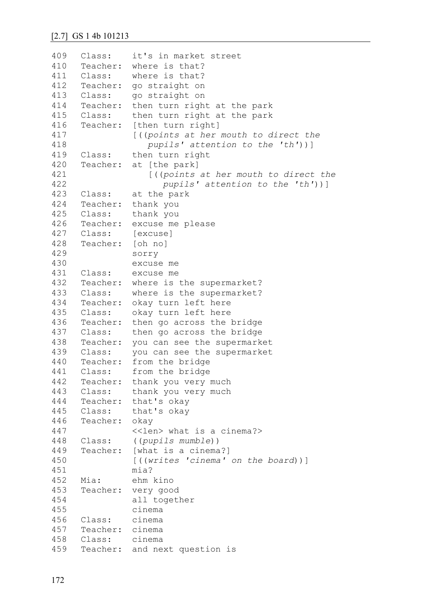```
409
410
411
412
413
414
415
416
417
418
419
420
421
422
423
424
425
426
427
428
429
430
431
432
433
434
435
436
437
438
439
440
441
442
443
444
445
446
447
448
449
450
451
452
453
454
455
456
457
458
459
     Class: it's in market street 
     Teacher: where is that?
     Class: where is that?
     Teacher: go straight on
     Class: go straight on
     Teacher: then turn right at the park 
     Class: then turn right at the park 
     Teacher: [then turn right]
               [((points at her mouth to direct the
                   pupils' attention to the 'th'))]
     Class: then turn right
     Teacher: at [the park]
                   [((points at her mouth to direct the 
                     pupils' attention to the 'th'))]
     Class: at the park 
     Teacher: thank you 
     Class: thank you 
     Teacher: excuse me please 
     Class: [excuse]
     Teacher: [oh no] 
               sorry 
               excuse me 
     Class: excuse me 
     Teacher: where is the supermarket?
     Class: where is the supermarket?
     Teacher: okay turn left here
     Class: okay turn left here
     Teacher: then go across the bridge 
     Class: then go across the bridge 
     Teacher: you can see the supermarket
     Class: you can see the supermarket
     Teacher: from the bridge 
     Class: from the bridge 
     Teacher: thank you very much 
     Class: thank you very much 
     Teacher: that's okay 
     Class: that's okay 
     Teacher: okay 
               <<len> what is a cinema?>
     Class: ((pupils mumble))
     Teacher: [what is a cinema?]
               [((writes 'cinema' on the board))]
               mia?
     Mia: ehm kino 
     Teacher: very good 
               all together 
               cinema 
     Class: cinema 
     Teacher: cinema 
     Class: cinema 
     Teacher: and next question is
```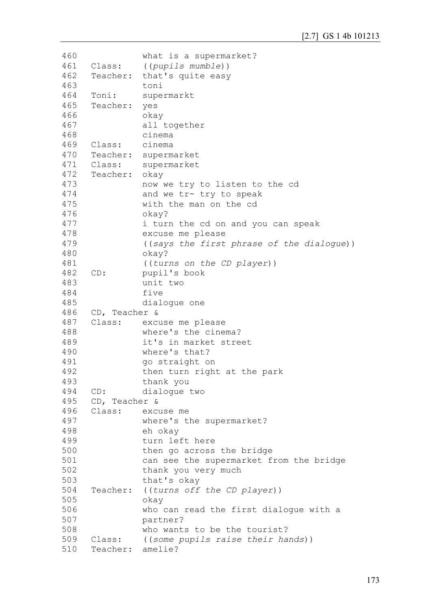```
460
461
462
463
464
465
466
467
468
469
470
471
472
473
474
475
476
477
478
479
480
481
482
483
484
485
486
487
488
489
490
491
492
493
494
495
496
497
498
499
500
501
502
503
504
505
506
507
508
509
510
                what is a supermarket?
     Class: ((pupils mumble))
     Teacher: that's quite easy 
                toni
     Toni: supermarkt 
     Teacher: yes 
                okay 
                all together 
                cinema 
     Class: cinema 
     Teacher: supermarket 
     Class: supermarket 
     Teacher: okay 
                now we try to listen to the cd 
                and we tr- try to speak 
                with the man on the cd 
                okay?
                i turn the cd on and you can speak 
                excuse me please 
                ((says the first phrase of the dialogue))
                okay? 
                ((turns on the CD player))
     CD: pupil's book 
                unit two 
                five 
                dialogue one 
     CD, Teacher &
     Class: excuse me please 
                where's the cinema?
                it's in market street 
                where's that?
                go straight on 
                then turn right at the park 
                thank you 
     CD: dialogue two 
     CD, Teacher & 
     Class: excuse me 
                where's the supermarket?
                eh okay 
                turn left here 
                then go across the bridge 
                can see the supermarket from the bridge 
                thank you very much 
                that's okay 
     Teacher: ((turns off the CD player))
                okay 
                who can read the first dialogue with a 
                partner?
                who wants to be the tourist?
     Class: ((some pupils raise their hands))
     Teacher: amelie?
```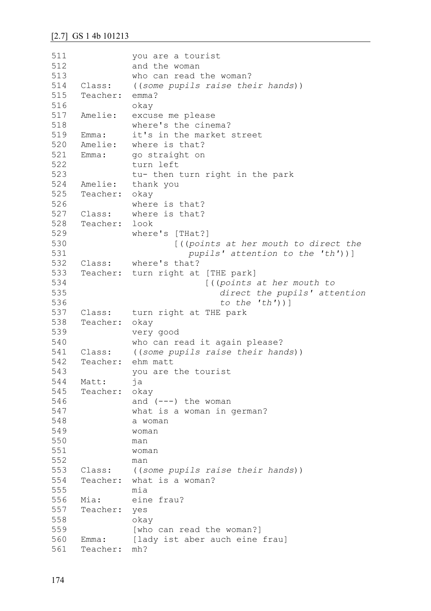```
511
512
513
514
515
516
517
518
519
520
521
522
523
524
525
526
527
528
529
530
531
532
533
534
535
536
537
538
539
540
541
542
543
544
545
546
547
548
549
550
551
552
553
554
555
556
557
558
559
560
561
                you are a tourist 
                and the woman 
               who can read the woman?
     Class: ((some pupils raise their hands))
     Teacher: emma?
               okay 
     Amelie: excuse me please 
               where's the cinema?
     Emma: it's in the market street 
     Amelie: where is that?
     Emma: go straight on 
               turn left
               tu- then turn right in the park 
     Amelie: thank you 
     Teacher: okay 
               where is that?
     Class: where is that?
     Teacher: look 
               where's [THat?] 
                         [((points at her mouth to direct the
                           pupils' attention to the 'th'))]
     Class: where's that?
     Teacher: turn right at [THE park] 
                               [((points at her mouth to 
                                  direct the pupils' attention
                                  to the 'th'))]
    Class: turn right at THE park 
     Teacher: okay 
               very good 
               who can read it again please?
     Class: ((some pupils raise their hands))
     Teacher: ehm matt 
               you are the tourist 
     Matt: ja 
     Teacher: okay 
               and (---) the woman
               what is a woman in german?
               a woman 
               woman
               man
               woman
               man
     Class: ((some pupils raise their hands))
     Teacher: what is a woman?
               mia
     Mia: eine frau?
     Teacher: yes 
               okay 
                [who can read the woman?]
     Emma: [lady ist aber auch eine frau]
     Teacher: mh?
```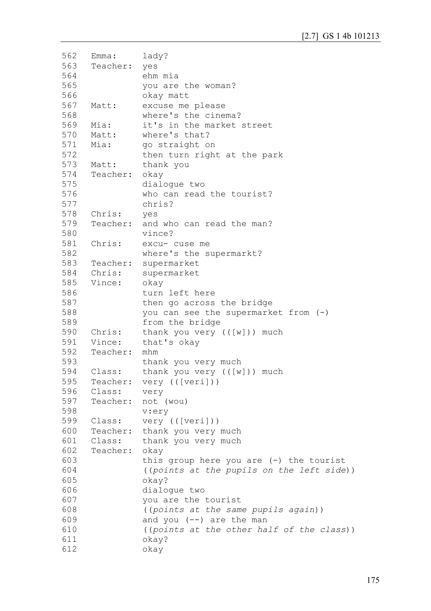```
562
563
564
565
566
567
568
569
570
571
572
573
574
575
576
577
578
579
580
581
582
583
584
585
586
587
588
589
590
591
592
593
594
595
596
597
598
599
600
601
602
603
604
605
606
607
608
609
610
611
612
     Emma: lady?
     Teacher: yes
               ehm mia
               you are the woman?
               okay matt 
     Matt: excuse me please 
               where's the cinema?
     Mia: it's in the market street 
     Matt: where's that?
     Mia: go straight on
               then turn right at the park 
     Matt: thank you 
     Teacher: okay 
               dialogue two 
               who can read the tourist?
               chris?
     Chris: yes 
     Teacher: and who can read the man?
               vince?
     Chris: excu- cuse me 
               where's the supermarkt?
     Teacher: supermarket 
     Chris: supermarket 
     Vince: okay 
               turn left here 
               then go across the bridge 
               you can see the supermarket from (-)
               from the bridge 
     Chris: thank you very (([w])) much 
     Vince: that's okay 
     Teacher: mhm 
               thank you very much 
     Class: thank you very (([w])) much 
     Teacher: very (([veri]))
     Class: very 
     Teacher: not (wou) 
               v:ery 
     Class: very (([veri]))
     Teacher: thank you very much 
     Class: thank you very much 
     Teacher: okay 
               this group here you are (-) the tourist
                ((points at the pupils on the left side))
               okay?
               dialogue two 
               you are the tourist 
               ((points at the same pupils again))
               and you (--) are the man
               ((points at the other half of the class))
               okay?
               okay
```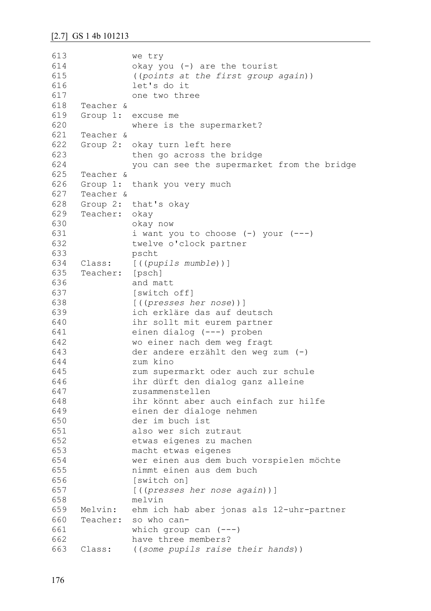613 614 615 616 617 618 619 620 621 622 623 624 625 626 627 628 629 630 631 632 633 634 635 636 637 638 639 640 641 642 643 644 645 646 647 648 649 650 651 652 653 654 655 656 657 658 659 660 661 662 663 we try okay you (-) are the tourist ((*points at the first group again*)) let's do it one two three Teacher & Group 1: excuse me where is the supermarket? Teacher & Group 2: okay turn left here then go across the bridge you can see the supermarket from the bridge Teacher & Group 1: thank you very much Teacher & Group 2: that's okay Teacher: okay okay now i want you to choose  $(-)$  your  $(--)$ twelve o'clock partner pscht Class: [((*pupils mumble*))] Teacher: [psch] and matt [switch off] [((*presses her nose*))] ich erkläre das auf deutsch ihr sollt mit eurem partner einen dialog (---) proben wo einer nach dem weg fragt der andere erzählt den weg zum (-) zum kino zum supermarkt oder auch zur schule ihr dürft den dialog ganz alleine zusammenstellen ihr könnt aber auch einfach zur hilfe einen der dialoge nehmen der im buch ist also wer sich zutraut etwas eigenes zu machen macht etwas eigenes wer einen aus dem buch vorspielen möchte nimmt einen aus dem buch [switch on] [((*presses her nose again*))] melvin Melvin: ehm ich hab aber jonas als 12-uhr-partner Teacher: so who canwhich group can  $(---)$ have three members? Class: ((*some pupils raise their hands*))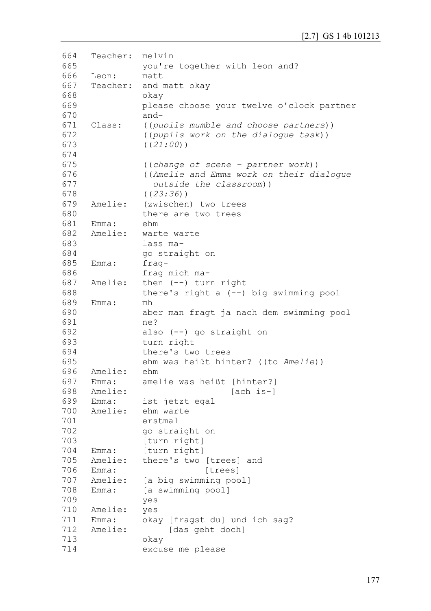```
664
665
666
667
668
669
670
671
672
673
674
675
676
677
678
679
680
681
682
683
684
685
686
687
688
689
690
691
692
693
694
695
696
697
698
699
700
701
702
703
704
705
706
707
708
709
710
711
712
713
714
     Teacher: melvin 
               you're together with leon and?
     Leon: matt 
     Teacher: and matt okay 
               okay
               please choose your twelve o'clock partner 
               and-
     Class: ((pupils mumble and choose partners))
               ((pupils work on the dialogue task))
               ((21:00))
               ((change of scene – partner work))
               ((Amelie and Emma work on their dialogue 
                  outside the classroom))
               ((23:36))
     Amelie: (zwischen) two trees
               there are two trees 
     Emma: ehm
     Amelie: warte warte
               lass ma-
               go straight on 
    Emma: frag-
               frag mich ma-
     Amelie: then (--) turn right 
               there's right a (--) big swimming pool 
     Emma: mh
               aber man fragt ja nach dem swimming pool 
               ne?
               also (--) go straight on 
               turn right 
               there's two trees 
               ehm was heißt hinter? ((to Amelie))
    Amelie: ehm 
    Emma: amelie was heißt [hinter?]
     Amelie: [ach is-]
    Emma: ist jetzt egal 
     Amelie: ehm warte 
               erstmal 
               go straight on
               [turn right]
    Emma: [turn right] 
     Amelie: there's two [trees] and 
    Emma: [trees]
     Amelie: [a big swimming pool]
     Emma: [a swimming pool]
               yes 
    Amelie: yes 
    Emma: okay [fragst du] und ich sag?
     Amelie: [das geht doch]
               okay 
               excuse me please
```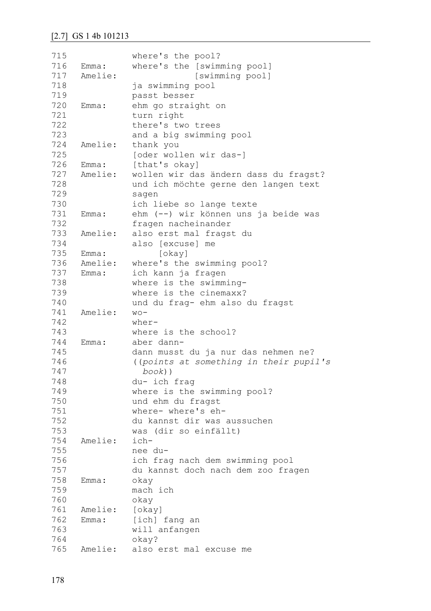| 715 |         | where's the pool?                      |
|-----|---------|----------------------------------------|
| 716 | Emma:   | where's the [swimming pool]            |
| 717 | Amelie: | [swimming pool]                        |
| 718 |         | ja swimming pool                       |
| 719 |         | passt besser                           |
| 720 | Emma:   | ehm go straight on                     |
| 721 |         | turn right                             |
| 722 |         | there's two trees                      |
| 723 |         | and a big swimming pool                |
| 724 | Amelie: | thank you                              |
| 725 |         | [oder wollen wir das-]                 |
| 726 | Emma:   | [that's okay]                          |
| 727 | Amelie: | wollen wir das ändern dass du fragst?  |
| 728 |         | und ich möchte gerne den langen text   |
| 729 |         | sagen                                  |
| 730 |         | ich liebe so lange texte               |
| 731 | Emma:   | ehm (--) wir können uns ja beide was   |
| 732 |         | fragen nacheinander                    |
| 733 | Amelie: | also erst mal fragst du                |
| 734 |         | also [excuse] me                       |
| 735 | Emma:   | [okay]                                 |
| 736 | Amelie: | where's the swimming pool?             |
| 737 | Emma:   | ich kann ja fragen                     |
| 738 |         | where is the swimming-                 |
| 739 |         | where is the cinemaxx?                 |
| 740 |         | und du frag- ehm also du fragst        |
| 741 | Amelie: | $WO -$                                 |
| 742 |         | $where -$                              |
| 743 |         | where is the school?                   |
| 744 | Emma:   | aber dann-                             |
| 745 |         | dann musst du ja nur das nehmen ne?    |
| 746 |         | ((points at something in their pupil's |
| 747 |         | $book)$ )                              |
| 748 |         | du- ich frag                           |
| 749 |         | where is the swimming pool?            |
| 750 |         | und ehm du fragst                      |
| 751 |         | where- where's eh-                     |
| 752 |         | du kannst dir was aussuchen            |
| 753 |         | was (dir so einfällt)                  |
| 754 | Amelie: | ich-                                   |
| 755 |         | nee du-                                |
| 756 |         | ich frag nach dem swimming pool        |
| 757 |         | du kannst doch nach dem zoo fragen     |
| 758 | Emma:   | okay                                   |
| 759 |         | mach ich                               |
| 760 |         | okay                                   |
| 761 | Amelie: | [okay]                                 |
| 762 | Emma:   | [ich] fang an                          |
| 763 |         | will anfangen                          |
| 764 |         | okay?                                  |
| 765 | Amelie: | also erst mal excuse me                |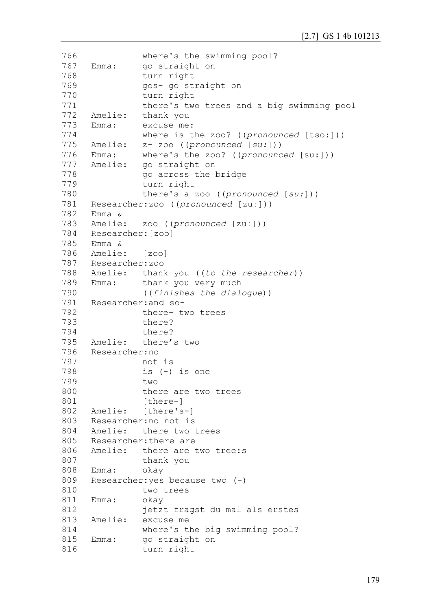```
766
767
768
769
770
771
772
773
774
775 Amelie:
776
777 Amelie:
778
779
780
781
782
Emma &
783
784
Researcher:[zoo]
785
Emma &
786
787
788
789 Emma:
790
791
Researcher:and so-
792
793
794
795
796
797
798
799
800
801
802
803
804
805
806
807
808
809
810
811
812
813
814
815
816
               where's the swimming pool?
     Emma: go straight on 
               turn right 
               gos- go straight on 
               turn right 
               there's two trees and a big swimming pool 
     Amelie: thank you 
     Emma: excuse me: 
               where is the zoo? ((pronounced [tso:]))
               Amelie: z- zoo ((pronounced [su:]))
     Emma: where's the zoo? ((pronounced [su:]))
               go straight on
               go across the bridge 
               turn right
               there's a zoo ((pronounced [su:]))
    Researcher:zoo ((pronounced [zuː]))
     Amelie: zoo ((pronounced [zuː]))
     Amelie: [zoo]
    Researcher:zoo
     Amelie: thank you ((to the researcher))
               thank you very much
               ((finishes the dialogue))
               there- two trees 
               there?
               there?
     Amelie: there's two
    Researcher:no 
               not is 
               is (-) is one 
               two 
               there are two trees 
               [there-]
     Amelie: [there's-]
    Researcher:no not is 
     Amelie: there two trees 
     Researcher:there are
     Amelie: there are two tree:s
               thank you
     Emma: okay 
     Researcher:yes because two (-)
               two trees 
     Emma: okay 
               jetzt fragst du mal als erstes 
     Amelie: excuse me 
               where's the big swimming pool?
     Emma: go straight on
               turn right
```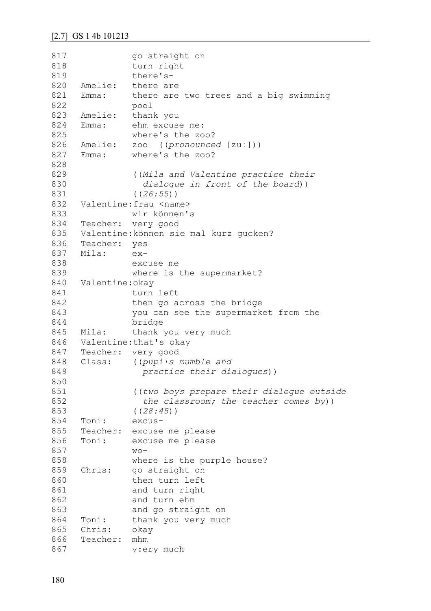```
817
818
819
820
821
822
823
824
825
826
827
828
829
830
831
832
833
834
835
836
837
838
839
840
841
842
843
844
845
846
847
848
849
850
851
852
853
854
855
856
857
858
859
860
861
862
863
864
865
866
867
                go straight on 
                turn right 
                there's-
     Amelie: there are
     Emma: there are two trees and a big swimming 
               pool 
     Amelie: thank you 
     Emma: ehm excuse me: 
               where's the zoo?
     Amelie: zoo ((pronounced [zuː]))
     Emma: where's the zoo?
                ((Mila and Valentine practice their 
                   dialogue in front of the board))
                ((26:55))
     Valentine: frau <name>
               wir können's 
     Teacher: very good 
     Valentine:können sie mal kurz gucken?
     Teacher: yes 
     Mila: ex-
                excuse me 
               where is the supermarket?
     Valentine:okay 
                turn left 
                then go across the bridge 
                you can see the supermarket from the 
               bridge 
     Mila: thank you very much 
     Valentine:that's okay 
     Teacher: very good 
     Class: ((pupils mumble and 
                   practice their dialogues))
                ((two boys prepare their dialogue outside 
                   the classroom; the teacher comes by))
                ((28:45))
     Toni: excus-
     Teacher: excuse me please 
     Toni: excuse me please 
               W \cap -where is the purple house?
     Chris: go straight on 
               then turn left 
               and turn right 
               and turn ehm 
               and go straight on 
     Toni: thank you very much 
     Chris: okay 
     Teacher: mhm 
               v:ery much
```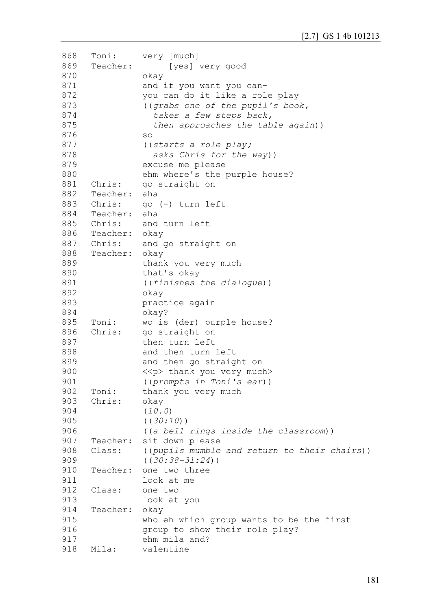| 868 | Toni:         | very [much]                                  |
|-----|---------------|----------------------------------------------|
| 869 | Teacher:      | [yes] very good                              |
| 870 |               | okay                                         |
| 871 |               | and if you want you can-                     |
| 872 |               | you can do it like a role play               |
| 873 |               | ((grabs one of the pupil's book,             |
| 874 |               | takes a few steps back,                      |
| 875 |               |                                              |
|     |               | then approaches the table again))            |
| 876 |               | SO                                           |
| 877 |               | ((starts a role play;                        |
| 878 |               | asks Chris for the way))                     |
| 879 |               | excuse me please                             |
| 880 |               | ehm where's the purple house?                |
| 881 | Chris:        | go straight on                               |
| 882 | Teacher:      | aha                                          |
| 883 | Chris:        | go (-) turn left                             |
| 884 | Teacher:      | aha                                          |
| 885 | Chris:        | and turn left                                |
| 886 | Teacher: okay |                                              |
|     |               | 887 Chris: and go straight on                |
| 888 | Teacher: okay |                                              |
| 889 |               | thank you very much                          |
| 890 |               | that's okay                                  |
| 891 |               | ((finishes the dialoque))                    |
| 892 |               |                                              |
|     |               | okay                                         |
| 893 |               | practice again                               |
| 894 |               | okay?                                        |
| 895 | Toni:         | wo is (der) purple house?                    |
| 896 | Chris:        | go straight on                               |
| 897 |               | then turn left                               |
| 898 |               | and then turn left                           |
| 899 |               | and then go straight on                      |
| 900 |               | < <p> thank you very much&gt;</p>            |
| 901 |               | ((prompts in Toni's ear))                    |
| 902 | Toni:         | thank you very much                          |
| 903 | Chris:        | okay                                         |
| 904 |               | (10.0)                                       |
| 905 |               | ( (30:10) )                                  |
| 906 |               | ((a bell rings inside the classroom))        |
| 907 | Teacher:      | sit down please                              |
| 908 | Class:        | ((pupils mumble and return to their chairs)) |
| 909 |               | $( (30:38-31:24) )$                          |
|     | Teacher:      |                                              |
| 910 |               | one two three                                |
| 911 |               | look at me                                   |
| 912 | Class:        | one two                                      |
| 913 |               | look at you                                  |
| 914 | Teacher:      | okay                                         |
| 915 |               | who eh which group wants to be the first     |
| 916 |               | group to show their role play?               |
| 917 |               | ehm mila and?                                |
| 918 | Mila:         | valentine                                    |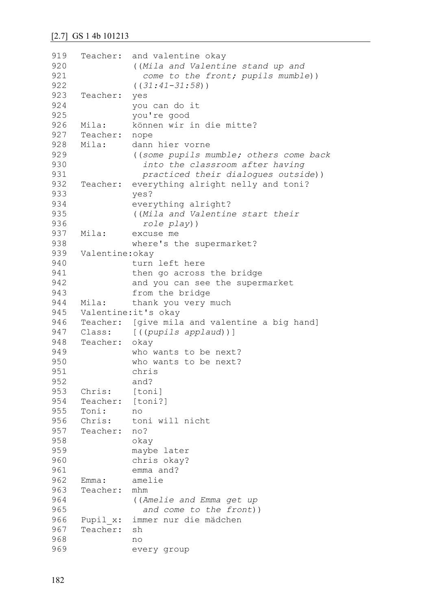```
919
920
921
922
923
924
925
926
927
928
929
930
931
932
933
934
935
936
937
938
939
940
941
942
943
944
945
946
947
948
949
950
951
952
953
954
955
956
957
958
959
960
961
962
963
964
965
966
967
968
969
     Teacher: and valentine okay 
                ((Mila and Valentine stand up and
                   come to the front; pupils mumble))
                ((31:41-31:58))
     Teacher: yes 
               you can do it
               you're good
    Mila: können wir in die mitte?
     Teacher: nope
     Mila: dann hier vorne
                ((some pupils mumble; others come back 
                   into the classroom after having 
                   practiced their dialogues outside))
     Teacher: everything alright nelly and toni?
               yes?
               everything alright?
                ((Mila and Valentine start their 
                   role play))
     Mila: excuse me 
               where's the supermarket?
     Valentine:okay
               turn left here 
               then go across the bridge 
               and you can see the supermarket 
                from the bridge 
     Mila: thank you very much 
     Valentine:it's okay 
     Teacher: [give mila and valentine a big hand]
     Class: [((pupils applaud))]
     Teacher: okay 
               who wants to be next?
               who wants to be next?
               chris
               and?
     Chris: [toni]
     Teacher: [toni?]
     Toni: no 
     Chris: toni will nicht 
     Teacher: no?
               okay 
               maybe later 
               chris okay?
               emma and?
     Emma: amelie
     Teacher: mhm 
                ((Amelie and Emma get up 
                   and come to the front))
     Pupil_x: immer nur die mädchen 
     Teacher: sh 
               no 
               every group
```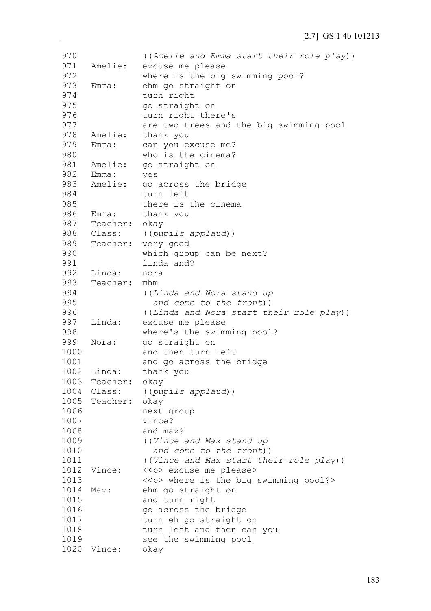| 970  |               | ((Amelie and Emma start their role play))     |
|------|---------------|-----------------------------------------------|
| 971  | Amelie:       | excuse me please                              |
| 972  |               | where is the big swimming pool?               |
| 973  | Emma:         | ehm go straight on                            |
| 974  |               | turn right                                    |
| 975  |               | go straight on                                |
| 976  |               | turn right there's                            |
| 977  |               | are two trees and the big swimming pool       |
| 978  | Amelie:       | thank you                                     |
| 979  | Emma:         | can you excuse me?                            |
| 980  |               | who is the cinema?                            |
| 981  | Amelie:       | go straight on                                |
| 982  | Emma:         | yes                                           |
| 983  | Amelie:       | go across the bridge                          |
| 984  |               | turn left                                     |
| 985  |               | there is the cinema                           |
| 986  | Emma:         |                                               |
| 987  |               | thank you                                     |
|      | Teacher: okay |                                               |
| 988  | Class:        | ((pupils applaud))                            |
| 989  | Teacher:      | very good                                     |
| 990  |               | which group can be next?                      |
| 991  |               | linda and?                                    |
| 992  | Linda:        | nora                                          |
| 993  | Teacher:      | mhm                                           |
| 994  |               | ((Linda and Nora stand up                     |
| 995  |               | and come to the front))                       |
| 996  |               | ((Linda and Nora start their role play))      |
| 997  | Linda:        | excuse me please                              |
| 998  |               | where's the swimming pool?                    |
| 999  | Nora:         | go straight on                                |
| 1000 |               | and then turn left                            |
| 1001 |               | and go across the bridge                      |
| 1002 | Linda:        | thank you                                     |
| 1003 | Teacher:      | okay                                          |
| 1004 | Class:        | ((pupils applaud))                            |
| 1005 | Teacher:      | okay                                          |
| 1006 |               | next group                                    |
| 1007 |               | vince?                                        |
| 1008 |               | and max?                                      |
| 1009 |               | ((Vince and Max stand up                      |
| 1010 |               | and come to the front))                       |
| 1011 |               | ((Vince and Max start their role play))       |
| 1012 | Vince:        | < <p> excuse me please&gt;</p>                |
| 1013 |               | < <p> where is the big swimming pool?&gt;</p> |
| 1014 | Max:          | ehm go straight on                            |
| 1015 |               | and turn right                                |
| 1016 |               | go across the bridge                          |
| 1017 |               | turn eh go straight on                        |
| 1018 |               | turn left and then can you                    |
| 1019 |               | see the swimming pool                         |
| 1020 | Vince:        | okay                                          |
|      |               |                                               |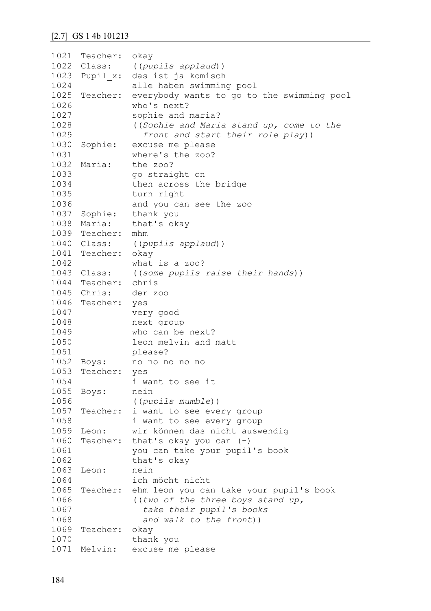```
1021
Teacher: okay 
1022 Class:
1023
Pupil_x: das ist ja komisch 
1024
1025
Teacher: everybody wants to go to the swimming pool 
1026
1027
1028
1029
1030 Sophie:
1031
1032 Maria:
1033
1034
1035
1036
1037 Sophie:
1038 Maria:
1039
Teacher: mhm 
1040 Class:
1041
Teacher: okay
1042
1043
Class: ((some pupils raise their hands))
1044
Teacher: chris
1045 Chris:
1046
Teacher: yes 
1047
1048
1049
1050
1051
1052 Boys:
1053
Teacher: yes 
1054
1055
Boys: nein 
1056
1057
Teacher: i want to see every group 
1058
1059 Leon:
1060
Teacher: that's okay you can (-)
1061
1062
1063
Leon: nein 
1064
1065
Teacher: ehm leon you can take your pupil's book 
1066
1067
1068
1069
Teacher: okay 
1070
1071
Melvin: excuse me please Class: ((pupils applaud))
               alle haben swimming pool 
               who's next?
               sophie and maria?
                ((Sophie and Maria stand up, come to the 
                   front and start their role play))
               excuse me please
               where's the zoo?
               the zoo?
               go straight on 
               then across the bridge 
               turn right 
               and you can see the zoo 
               thank you
               that's okay
              Class: ((pupils applaud))
               what is a zoo?
               der zoo
               very good 
               next group 
               who can be next?
                leon melvin and matt 
               please?
               Boys: no no no no no 
               i want to see it 
               ((pupils mumble))
               i want to see every group 
               wir können das nicht auswendig
               you can take your pupil's book 
               that's okay 
               ich möcht nicht
                ((two of the three boys stand up, 
                   take their pupil's books 
                   and walk to the front))
               thank you
```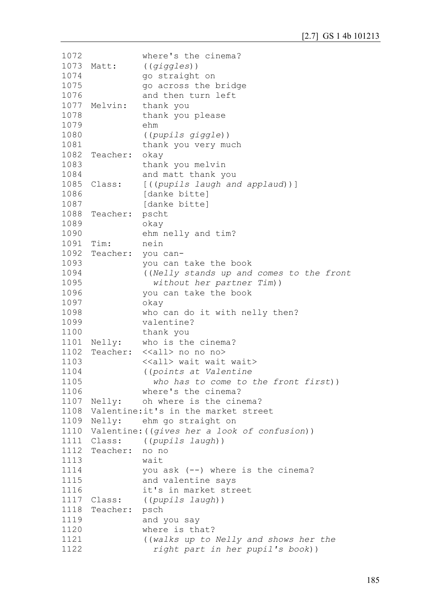```
1072
1073 Matt:
1074
1075
1076
1077 Melvin:
1078
1079
1080
1081
1082
Teacher: okay 
1083
1084
1085 Class:
1086
1087
1088
Teacher: pscht 
1089
1090
1091
1092
Teacher: you can-
1093
1094
1095
1096
1097
1098
1099
1100
1101 Nelly:
1102
Teacher: <<all> no no no> 
1103
1104
1105
1106
1107 Nelly:
1108
Valentine:it's in the market street 
1109 Nelly:
1110
Valentine:((gives her a look of confusion))
1111 Class:
1112
Teacher: no no 
1113
1114
1115
1116
1117 Class:
1118
Teacher: psch 
1119
1120
1121
1122
                where's the cinema?
                Matt: ((giggles))
                go straight on 
                go across the bridge 
                and then turn left 
                thank you
                thank you please 
                ehm 
                ((pupils giggle))
                thank you very much 
               thank you melvin 
                and matt thank you 
               Class: [((pupils laugh and applaud))]
                [danke bitte]
                [danke bitte]
                okay 
                ehm nelly and tim?
               Tim: nein 
                you can take the book
               ((Nelly stands up and comes to the front 
                  without her partner Tim))
                you can take the book
                okay 
                who can do it with nelly then?
                valentine?
               thank you 
               who is the cinema?
                <<all> wait wait wait> 
               ((points at Valentine 
                  who has to come to the front first))
                where's the cinema?
               oh where is the cinema?
              ehm go straight on
               Class: ((pupils laugh))
                wait 
                you ask (--) where is the cinema?
                and valentine says 
                it's in market street 
                Class: ((pupils laugh))
                and you say 
                where is that?
                ((walks up to Nelly and shows her the 
                   right part in her pupil's book))
```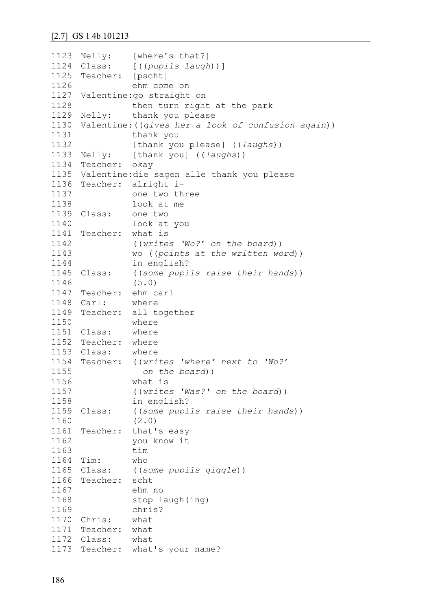```
1123 Nelly:
1124 Class:
1125
Teacher: [pscht]
1126
1127
Valentine:go straight on 
1128
1129 Nelly:
1130
Valentine:((gives her a look of confusion again))
1131
1132
1133 Nelly:
1134
Teacher: okay 
1135
Valentine:die sagen alle thank you please
1136
Teacher: alright i-
1137
1138
1139 Class:
1140
1141
Teacher: what is 
1142
1143
1144
1145 Class:
1146
1147
Teacher: ehm carl
1148 Carl:
1149
Teacher: all together 
1150
1151 Class:
1152
Teacher: where 
1153
Class: where 
1154
Teacher: ((writes 'where' next to 'Wo?'
1155
1156
1157
1158
1159 Class:
1160
1161
Teacher: that's easy 
1162
1163
1164
Tim: who 
1165 Class:
1166
Teacher: scht 
1167
1168
1169
1170
Chris: what 
1171
Teacher: what 
1172
Class: what 
1173
Teacher: what's your name?[where's that?]
               Class: [((pupils laugh))]
               ehm come on 
               then turn right at the park 
              thank you please
               thank you 
               [thank you please] ((laughs))
               [thank you] ((laughs))
               one two three 
               look at me 
               one two
               look at you 
                ((writes 'Wo?' on the board))
               wo ((points at the written word))
               in english?
              Class: ((some pupils raise their hands))
               (5.0)
              where
               where 
               where
                   on the board))
               what is 
                ((writes 'Was?' on the board))
               in english?
               Class: ((some pupils raise their hands))
                (2.0)
               you know it 
               tim 
               Class: ((some pupils giggle))
               ehm no 
               stop laugh(ing) 
               chris?
```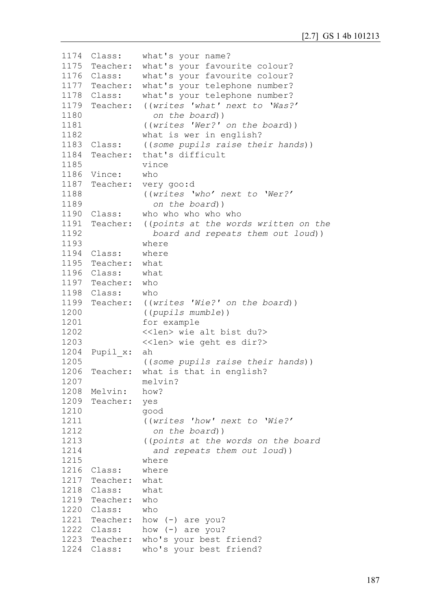```
1174 Class:
1175
Teacher: what's your favourite colour?
1176 Class:
1177
Teacher: what's your telephone number?
1178 Class:
1179
Teacher: ((writes 'what' next to 'Was?' 
1180
1181
1182
1183 Class:
1184
1185
1186
Vince: who 
1187
Teacher: very goo:d 
1188
1189
1190
Class: who who who who who 
1191
1192
1193
1194
Class: where 
1195
Teacher: what 
1196
Class: what 
1197
Teacher: who 
1198
Class: who 
1199
Teacher: ((writes 'Wie?' on the board))
1200
1201
1202
1203
1204
Pupil_x: ah 
1205
1206
Teacher: what is that in english?
1207
1208
Melvin: how?
1209
Teacher: yes 
1210
1211
1212
1213
1214
1215
1216
Class: where 
1217
Teacher: what 
1218
Class: what 
1219
Teacher: who 
1220
Class: who 
1221
Teacher: how (-) are you?
1222 Class:
1223
Teacher: who's your best friend?
1224
Class: who's your best friend?what's your name?
             what's your favourite colour?
              what's your telephone number?
                  on the board)) 
               ((writes 'Wer?' on the board))
               what is wer in english?
               Class: ((some pupils raise their hands))
     Teacher: that's difficult 
               vince
               ((writes 'who' next to 'Wer?' 
                  on the board))
    Teacher: ((points at the words written on the 
                  board and repeats them out loud))
               where 
               ((pupils mumble))
               for example
               <<len> wie alt bist du?>
               <<len> wie geht es dir?>
               ((some pupils raise their hands))
               melvin?
               good 
               ((writes 'how' next to 'Wie?' 
                  on the board))
               ((points at the words on the board
                  and repeats them out loud))
               where 
              how (-) are you?
```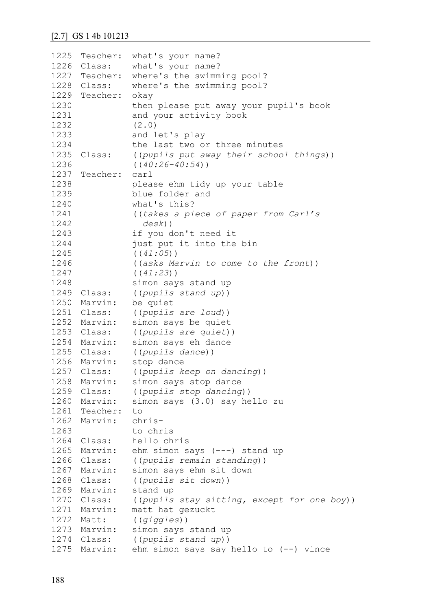| 1225 | Teacher:      | what's your name?                           |
|------|---------------|---------------------------------------------|
| 1226 | Class:        | what's your name?                           |
|      | 1227 Teacher: | where's the swimming pool?                  |
|      | 1228 Class:   | where's the swimming pool?                  |
|      | 1229 Teacher: | okay                                        |
| 1230 |               | then please put away your pupil's book      |
| 1231 |               | and your activity book                      |
| 1232 |               | (2.0)                                       |
| 1233 |               | and let's play                              |
| 1234 |               | the last two or three minutes               |
| 1235 | Class:        | ((pupils put away their school things))     |
| 1236 |               | $((40:26-40:54))$                           |
|      | 1237 Teacher: | carl                                        |
| 1238 |               | please ehm tidy up your table               |
| 1239 |               | blue folder and                             |
| 1240 |               | what's this?                                |
| 1241 |               | ((takes a piece of paper from Carl's        |
| 1242 |               | $desk)$ )                                   |
| 1243 |               | if you don't need it                        |
| 1244 |               | just put it into the bin                    |
| 1245 |               | ((41:05))                                   |
| 1246 |               | ((asks Marvin to come to the front))        |
| 1247 |               | ((41:23))                                   |
| 1248 |               | simon says stand up                         |
| 1249 | Class:        | ((pupils stand up))                         |
| 1250 | Marvin:       | be quiet                                    |
|      | 1251 Class:   | ((pupils are loud))                         |
|      | 1252 Marvin:  | simon says be quiet                         |
|      | 1253 Class:   | ((pupils are quiet))                        |
|      | 1254 Marvin:  | simon says eh dance                         |
|      | 1255 Class:   | ((pupils dance))                            |
|      | 1256 Marvin:  | stop dance                                  |
|      | 1257 Class:   | ((pupils keep on dancing))                  |
| 1258 | Marvin:       | simon says stop dance                       |
| 1259 | Class:        | ((pupils stop dancing))                     |
| 1260 | Marvin:       | simon says (3.0) say hello zu               |
|      | 1261 Teacher: | to                                          |
|      | 1262 Marvin:  | chris-                                      |
| 1263 |               | to chris                                    |
| 1264 | Class:        | hello chris                                 |
| 1265 | Marvin:       | ehm simon says (---) stand up               |
| 1266 | Class:        | ((pupils remain standing))                  |
| 1267 | Marvin:       | simon says ehm sit down                     |
| 1268 | Class:        | ((pupils sit down))                         |
| 1269 | Marvin:       | stand up                                    |
|      | 1270 Class:   | ((pupils stay sitting, except for one boy)) |
|      | 1271 Marvin:  | matt hat gezuckt                            |
| 1272 | Matt:         | ((qiqqles))                                 |
| 1273 | Marvin:       | simon says stand up                         |
|      | 1274 Class:   | ((pupils stand up))                         |
|      | 1275 Marvin:  | ehm simon says say hello to $(--)$ vince    |
|      |               |                                             |